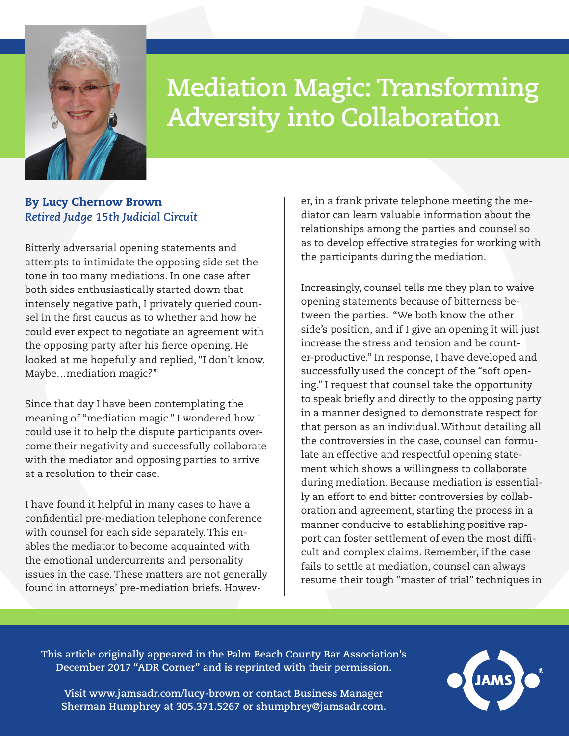

## **Mediation Magic: Transforming Adversity into Collaboration**

## By Lucy Chernow Brown *Retired Judge 15th Judicial Circuit*

Bitterly adversarial opening statements and attempts to intimidate the opposing side set the tone in too many mediations. In one case after both sides enthusiastically started down that intensely negative path, I privately queried counsel in the first caucus as to whether and how he could ever expect to negotiate an agreement with the opposing party after his fierce opening. He looked at me hopefully and replied, "I don't know. Maybe…mediation magic?"

Since that day I have been contemplating the meaning of "mediation magic." I wondered how I could use it to help the dispute participants overcome their negativity and successfully collaborate with the mediator and opposing parties to arrive at a resolution to their case.

I have found it helpful in many cases to have a confidential pre-mediation telephone conference with counsel for each side separately. This enables the mediator to become acquainted with the emotional undercurrents and personality issues in the case. These matters are not generally found in attorneys' pre-mediation briefs. However, in a frank private telephone meeting the mediator can learn valuable information about the relationships among the parties and counsel so as to develop effective strategies for working with the participants during the mediation.

Increasingly, counsel tells me they plan to waive opening statements because of bitterness between the parties. "We both know the other side's position, and if I give an opening it will just increase the stress and tension and be counter-productive." In response, I have developed and successfully used the concept of the "soft opening." I request that counsel take the opportunity to speak briefly and directly to the opposing party in a manner designed to demonstrate respect for that person as an individual. Without detailing all the controversies in the case, counsel can formulate an effective and respectful opening statement which shows a willingness to collaborate during mediation. Because mediation is essentially an effort to end bitter controversies by collaboration and agreement, starting the process in a manner conducive to establishing positive rapport can foster settlement of even the most difficult and complex claims. Remember, if the case fails to settle at mediation, counsel can always resume their tough "master of trial" techniques in

**This article originally appeared in the Palm Beach County Bar Association's December 2017 "ADR Corner" and is reprinted with their permission.** 



**Visit [www.jamsadr.com/lucy-brown](https://www.jamsadr.com/lucy-brown/) or contact Business Manager Sherman Humphrey at 305.371.5267 or [shumphrey@jamsadr.com.](mailto:shumphrey%40jamsadr.com?subject=)**